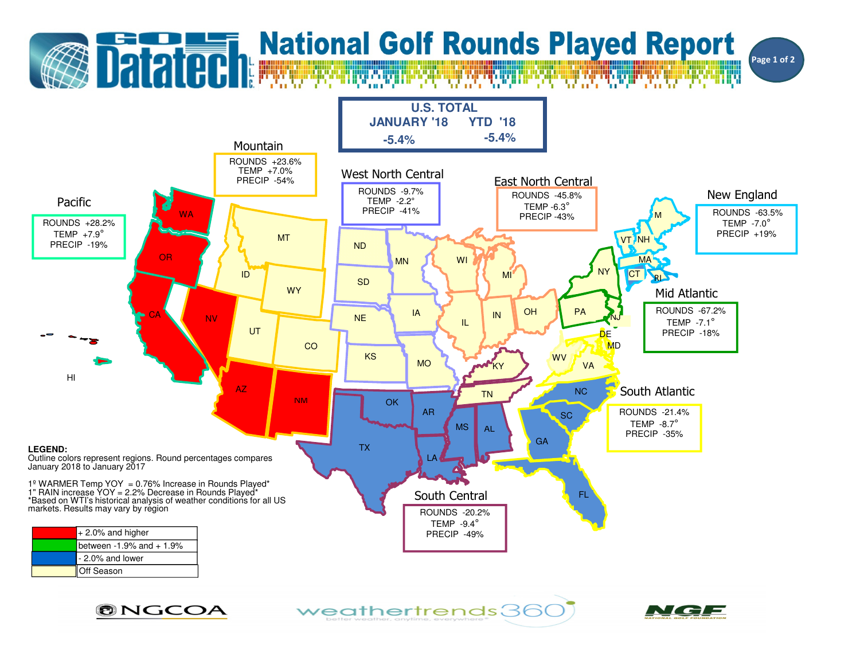